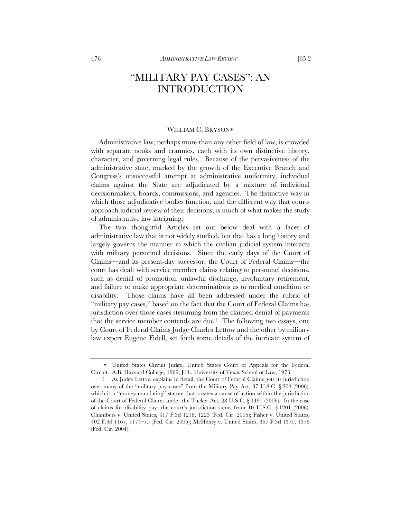## "MILITARY PAY CASES": AN INTRODUCTION

## WILLIAM C. BRYSON

Administrative law, perhaps more than any other field of law, is crowded with separate nooks and crannies, each with its own distinctive history, character, and governing legal rules. Because of the pervasiveness of the administrative state, marked by the growth of the Executive Branch and Congress's unsuccessful attempt at administrative uniformity, individual claims against the State are adjudicated by a mixture of individual decisionmakers, boards, commissions, and agencies. The distinctive way in which those adjudicative bodies function, and the different way that courts approach judicial review of their decisions, is much of what makes the study of administrative law intriguing.

The two thoughtful Articles set out below deal with a facet of administrative law that is not widely studied, but that has a long history and largely governs the manner in which the civilian judicial system interacts with military personnel decisions. Since the early days of the Court of Claims—and its present-day successor, the Court of Federal Claims—the court has dealt with service member claims relating to personnel decisions, such as denial of promotion, unlawful discharge, involuntary retirement, and failure to make appropriate determinations as to medical condition or disability. Those claims have all been addressed under the rubric of "military pay cases," based on the fact that the Court of Federal Claims has jurisdiction over those cases stemming from the claimed denial of payments that the service member contends are due.<sup>1</sup> The following two essays, one by Court of Federal Claims Judge Charles Lettow and the other by military law expert Eugene Fidell, set forth some details of the intricate system of

United States Circuit Judge, United States Court of Appeals for the Federal Circuit. A.B. Harvard College, 1969; J.D., University of Texas School of Law, 1973.

 <sup>1.</sup> As Judge Lettow explains in detail, the Court of Federal Claims gets its jurisdiction over many of the "military pay cases" from the Military Pay Act, 37 U.S.C. § 204 (2006), which is a "money-mandating" statute that creates a cause of action within the jurisdiction of the Court of Federal Claims under the Tucker Act, 28 U.S.C. § 1491 (2006). In the case of claims for disability pay, the court's jurisdiction stems from 10 U.S.C. § 1201 (2006). Chambers v. United States, 417 F.3d 1218, 1223 (Fed. Cir. 2005); Fisher v. United States, 402 F.3d 1167, 1174–75 (Fed. Cir. 2005); McHenry v. United States, 367 F.3d 1370, 1378 (Fed. Cir. 2004).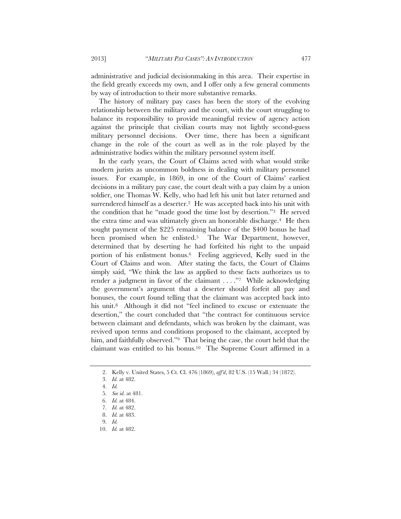administrative and judicial decisionmaking in this area. Their expertise in the field greatly exceeds my own, and I offer only a few general comments by way of introduction to their more substantive remarks.

The history of military pay cases has been the story of the evolving relationship between the military and the court, with the court struggling to balance its responsibility to provide meaningful review of agency action against the principle that civilian courts may not lightly second-guess military personnel decisions. Over time, there has been a significant change in the role of the court as well as in the role played by the administrative bodies within the military personnel system itself.

In the early years, the Court of Claims acted with what would strike modern jurists as uncommon boldness in dealing with military personnel issues. For example, in 1869, in one of the Court of Claims' earliest decisions in a military pay case, the court dealt with a pay claim by a union soldier, one Thomas W. Kelly, who had left his unit but later returned and surrendered himself as a deserter.<sup>2</sup> He was accepted back into his unit with the condition that he "made good the time lost by desertion."3 He served the extra time and was ultimately given an honorable discharge.4 He then sought payment of the \$225 remaining balance of the \$400 bonus he had been promised when he enlisted.<sup>5</sup> The War Department, however, determined that by deserting he had forfeited his right to the unpaid portion of his enlistment bonus.6 Feeling aggrieved, Kelly sued in the Court of Claims and won. After stating the facts, the Court of Claims simply said, "We think the law as applied to these facts authorizes us to render a judgment in favor of the claimant . . . . "7 While acknowledging the government's argument that a deserter should forfeit all pay and bonuses, the court found telling that the claimant was accepted back into his unit.<sup>8</sup> Although it did not "feel inclined to excuse or extenuate the desertion," the court concluded that "the contract for continuous service between claimant and defendants, which was broken by the claimant, was revived upon terms and conditions proposed to the claimant, accepted by him, and faithfully observed."<sup>9</sup> That being the case, the court held that the claimant was entitled to his bonus.10 The Supreme Court affirmed in a

 <sup>2.</sup> Kelly v. United States, 5 Ct. Cl. 476 (1869), *aff'd*, 82 U.S. (15 Wall.) 34 (1872).

 <sup>3.</sup> *Id.* at 482.

 <sup>4.</sup> *Id.* 

 <sup>5.</sup> *See id.* at 481.

 <sup>6.</sup> *Id.* at 484.

 <sup>7.</sup> *Id.* at 482.

 <sup>8.</sup> *Id.* at 483.

 <sup>9.</sup> *Id.*

 <sup>10.</sup> *Id.* at 482.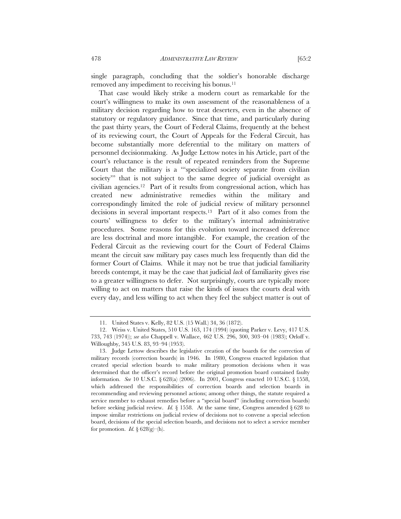single paragraph, concluding that the soldier's honorable discharge removed any impediment to receiving his bonus.11

That case would likely strike a modern court as remarkable for the court's willingness to make its own assessment of the reasonableness of a military decision regarding how to treat deserters, even in the absence of statutory or regulatory guidance. Since that time, and particularly during the past thirty years, the Court of Federal Claims, frequently at the behest of its reviewing court, the Court of Appeals for the Federal Circuit, has become substantially more deferential to the military on matters of personnel decisionmaking. As Judge Lettow notes in his Article, part of the court's reluctance is the result of repeated reminders from the Supreme Court that the military is a "'specialized society separate from civilian society'" that is not subject to the same degree of judicial oversight as civilian agencies.12 Part of it results from congressional action, which has created new administrative remedies within the military and correspondingly limited the role of judicial review of military personnel decisions in several important respects.13 Part of it also comes from the courts' willingness to defer to the military's internal administrative procedures. Some reasons for this evolution toward increased deference are less doctrinal and more intangible. For example, the creation of the Federal Circuit as the reviewing court for the Court of Federal Claims meant the circuit saw military pay cases much less frequently than did the former Court of Claims. While it may not be true that judicial familiarity breeds contempt, it may be the case that judicial *lack* of familiarity gives rise to a greater willingness to defer. Not surprisingly, courts are typically more willing to act on matters that raise the kinds of issues the courts deal with every day, and less willing to act when they feel the subject matter is out of

 <sup>11.</sup> United States v. Kelly, 82 U.S. (15 Wall.) 34, 36 (1872).

 <sup>12.</sup> Weiss v. United States, 510 U.S. 163, 174 (1994) (quoting Parker v. Levy, 417 U.S. 733, 743 (1974)); *see also* Chappell v. Wallace, 462 U.S. 296, 300, 303–04 (1983); Orloff v. Willoughby, 345 U.S. 83, 93–94 (1953).

 <sup>13.</sup> Judge Lettow describes the legislative creation of the boards for the correction of military records (correction boards) in 1946. In 1980, Congress enacted legislation that created special selection boards to make military promotion decisions when it was determined that the officer's record before the original promotion board contained faulty information. *See* 10 U.S.C. § 628(a) (2006). In 2001, Congress enacted 10 U.S.C. § 1558, which addressed the responsibilities of correction boards and selection boards in recommending and reviewing personnel actions; among other things, the statute required a service member to exhaust remedies before a "special board" (including correction boards) before seeking judicial review. *Id.*  $\S$  1558. At the same time, Congress amended  $\S$  628 to impose similar restrictions on judicial review of decisions not to convene a special selection board, decisions of the special selection boards, and decisions not to select a service member for promotion. *Id.*  $\S 628(g)-(h)$ .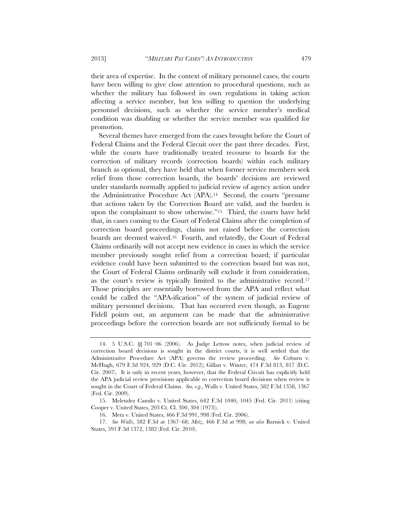their area of expertise. In the context of military personnel cases, the courts have been willing to give close attention to procedural questions, such as whether the military has followed its own regulations in taking action affecting a service member, but less willing to question the underlying personnel decisions, such as whether the service member's medical condition was disabling or whether the service member was qualified for promotion.

Several themes have emerged from the cases brought before the Court of Federal Claims and the Federal Circuit over the past three decades. First, while the courts have traditionally treated recourse to boards for the correction of military records (correction boards) within each military branch as optional, they have held that when former service members seek relief from those correction boards, the boards' decisions are reviewed under standards normally applied to judicial review of agency action under the Administrative Procedure Act (APA).14 Second, the courts "presume that actions taken by the Correction Board are valid, and the burden is upon the complainant to show otherwise."15 Third, the courts have held that, in cases coming to the Court of Federal Claims after the completion of correction board proceedings, claims not raised before the correction boards are deemed waived.16 Fourth, and relatedly, the Court of Federal Claims ordinarily will not accept new evidence in cases in which the service member previously sought relief from a correction board; if particular evidence could have been submitted to the correction board but was not, the Court of Federal Claims ordinarily will exclude it from consideration, as the court's review is typically limited to the administrative record.17 Those principles are essentially borrowed from the APA and reflect what could be called the "APA-ification" of the system of judicial review of military personnel decisions. That has occurred even though, as Eugene Fidell points out, an argument can be made that the administrative proceedings before the correction boards are not sufficiently formal to be

 <sup>14. 5</sup> U.S.C. §§ 701–06 (2006). As Judge Lettow notes, when judicial review of correction board decisions is sought in the district courts, it is well settled that the Administrative Procedure Act (APA) governs the review proceeding. *See* Coburn v. McHugh, 679 F.3d 924, 929 (D.C. Cir. 2012); Gillan v. Winter, 474 F.3d 813, 817 (D.C. Cir. 2007). It is only in recent years, however, that the Federal Circuit has explicitly held the APA judicial review provisions applicable to correction board decisions when review is sought in the Court of Federal Claims. *See, e.g.*, Walls v. United States, 582 F.3d 1358, 1367 (Fed. Cir. 2009).

 <sup>15.</sup> Melendez Camilo v. United States, 642 F.3d 1040, 1045 (Fed. Cir. 2011) (citing Cooper v. United States, 203 Ct. Cl. 300, 304 (1973)).

 <sup>16.</sup> Metz v. United States, 466 F.3d 991, 998 (Fed. Cir. 2006).

 <sup>17.</sup> *See Walls*, 582 F.3d at 1367–68; *Metz*, 466 F.3d at 998; *see also* Barnick v. United States, 591 F.3d 1372, 1382 (Fed. Cir. 2010).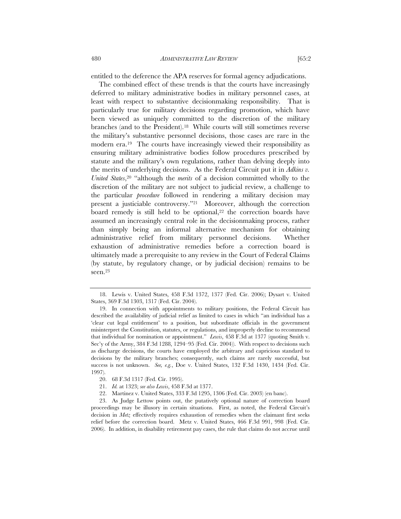entitled to the deference the APA reserves for formal agency adjudications.

The combined effect of these trends is that the courts have increasingly deferred to military administrative bodies in military personnel cases, at least with respect to substantive decisionmaking responsibility. That is particularly true for military decisions regarding promotion, which have been viewed as uniquely committed to the discretion of the military branches (and to the President).18 While courts will still sometimes reverse the military's substantive personnel decisions, those cases are rare in the modern era.19 The courts have increasingly viewed their responsibility as ensuring military administrative bodies follow procedures prescribed by statute and the military's own regulations, rather than delving deeply into the merits of underlying decisions. As the Federal Circuit put it in *Adkins v. United States*,20 "although the *merits* of a decision committed wholly to the discretion of the military are not subject to judicial review, a challenge to the particular *procedure* followed in rendering a military decision may present a justiciable controversy."21 Moreover, although the correction board remedy is still held to be optional, $22$  the correction boards have assumed an increasingly central role in the decisionmaking process, rather than simply being an informal alternative mechanism for obtaining administrative relief from military personnel decisions. Whether exhaustion of administrative remedies before a correction board is ultimately made a prerequisite to any review in the Court of Federal Claims (by statute, by regulatory change, or by judicial decision) remains to be seen.23

22. Martinez v. United States, 333 F.3d 1295, 1306 (Fed. Cir. 2003) (en banc).

 <sup>18.</sup> Lewis v. United States, 458 F.3d 1372, 1377 (Fed. Cir. 2006); Dysart v. United States, 369 F.3d 1303, 1317 (Fed. Cir. 2004).

 <sup>19.</sup> In connection with appointments to military positions, the Federal Circuit has described the availability of judicial relief as limited to cases in which "an individual has a 'clear cut legal entitlement' to a position, but subordinate officials in the government misinterpret the Constitution, statutes, or regulations, and improperly decline to recommend that individual for nomination or appointment." *Lewis*, 458 F.3d at 1377 (quoting Smith v. Sec'y of the Army, 384 F.3d 1288, 1294–95 (Fed. Cir. 2004)). With respect to decisions such as discharge decisions, the courts have employed the arbitrary and capricious standard to decisions by the military branches; consequently, such claims are rarely successful, but success is not unknown. *See, e.g.*, Doe v. United States, 132 F.3d 1430, 1434 (Fed. Cir. 1997).

 <sup>20. 68</sup> F.3d 1317 (Fed. Cir. 1995).

 <sup>21.</sup> *Id.* at 1323; *see also Lewis*, 458 F.3d at 1377.

 <sup>23.</sup> As Judge Lettow points out, the putatively optional nature of correction board proceedings may be illusory in certain situations. First, as noted, the Federal Circuit's decision in *Metz* effectively requires exhaustion of remedies when the claimant first seeks relief before the correction board. Metz v. United States, 466 F.3d 991, 998 (Fed. Cir. 2006). In addition, in disability retirement pay cases, the rule that claims do not accrue until